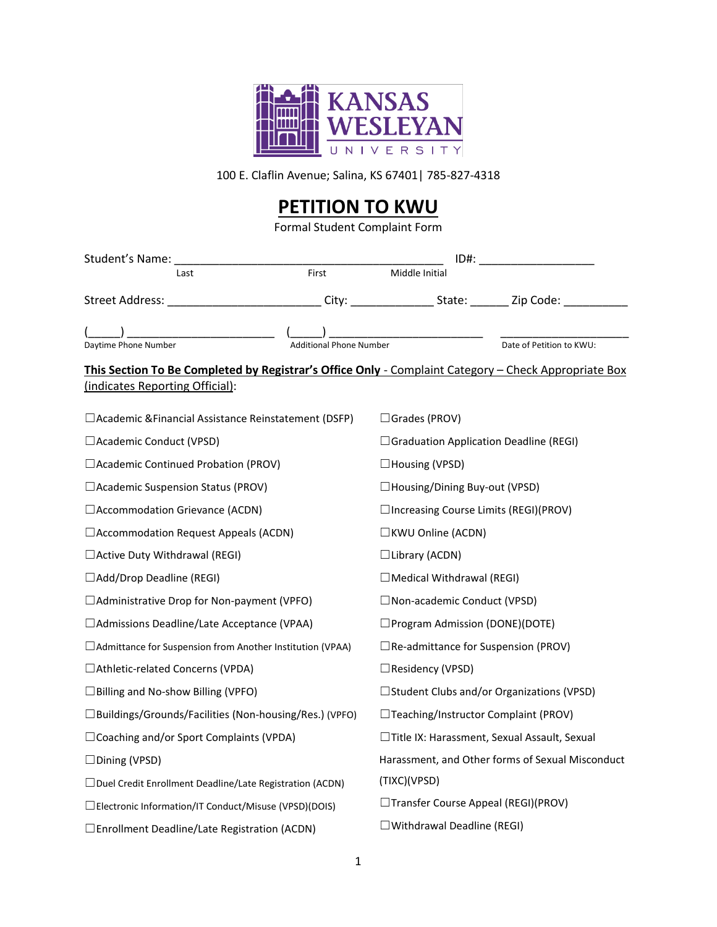

100 E. Claflin Avenue; Salina, KS 67401| 785-827-4318

## **PETITION TO KWU**

Formal Student Complaint Form

| Student's Name: _________________                                                                                                       |                         |                                                  |                          |
|-----------------------------------------------------------------------------------------------------------------------------------------|-------------------------|--------------------------------------------------|--------------------------|
| Last                                                                                                                                    | First                   | Middle Initial                                   |                          |
| Street Address: ______________________________City: __________________State: _________Zip Code: ______________                          |                         |                                                  |                          |
| Daytime Phone Number                                                                                                                    | Additional Phone Number |                                                  | Date of Petition to KWU: |
| This Section To Be Completed by Registrar's Office Only - Complaint Category - Check Appropriate Box<br>(indicates Reporting Official): |                         |                                                  |                          |
| □ Academic & Financial Assistance Reinstatement (DSFP)                                                                                  |                         | $\Box$ Grades (PROV)                             |                          |
| □ Academic Conduct (VPSD)                                                                                                               |                         | □ Graduation Application Deadline (REGI)         |                          |
| □ Academic Continued Probation (PROV)                                                                                                   |                         | $\Box$ Housing (VPSD)                            |                          |
| □ Academic Suspension Status (PROV)                                                                                                     |                         | □Housing/Dining Buy-out (VPSD)                   |                          |
| □ Accommodation Grievance (ACDN)                                                                                                        |                         | □ Increasing Course Limits (REGI)(PROV)          |                          |
| □ Accommodation Request Appeals (ACDN)                                                                                                  |                         | □KWU Online (ACDN)                               |                          |
| $\Box$ Active Duty Withdrawal (REGI)                                                                                                    |                         | $\Box$ Library (ACDN)                            |                          |
| □Add/Drop Deadline (REGI)                                                                                                               |                         | $\Box$ Medical Withdrawal (REGI)                 |                          |
| □ Administrative Drop for Non-payment (VPFO)                                                                                            |                         | □ Non-academic Conduct (VPSD)                    |                          |
| □ Admissions Deadline/Late Acceptance (VPAA)                                                                                            |                         | $\Box$ Program Admission (DONE)(DOTE)            |                          |
| □ Admittance for Suspension from Another Institution (VPAA)                                                                             |                         | $\Box$ Re-admittance for Suspension (PROV)       |                          |
| □ Athletic-related Concerns (VPDA)                                                                                                      |                         | □Residency (VPSD)                                |                          |
| □ Billing and No-show Billing (VPFO)                                                                                                    |                         | □ Student Clubs and/or Organizations (VPSD)      |                          |
| □Buildings/Grounds/Facilities (Non-housing/Res.) (VPFO)                                                                                 |                         | □Teaching/Instructor Complaint (PROV)            |                          |
| □ Coaching and/or Sport Complaints (VPDA)                                                                                               |                         | □Title IX: Harassment, Sexual Assault, Sexual    |                          |
| $\Box$ Dining (VPSD)                                                                                                                    |                         | Harassment, and Other forms of Sexual Misconduct |                          |
| $\Box$ Duel Credit Enrollment Deadline/Late Registration (ACDN)                                                                         |                         | (TIXC)(VPSD)                                     |                          |
| □ Electronic Information/IT Conduct/Misuse (VPSD)(DOIS)                                                                                 |                         | □Transfer Course Appeal (REGI)(PROV)             |                          |
| □ Enrollment Deadline/Late Registration (ACDN)                                                                                          |                         | $\Box$ Withdrawal Deadline (REGI)                |                          |